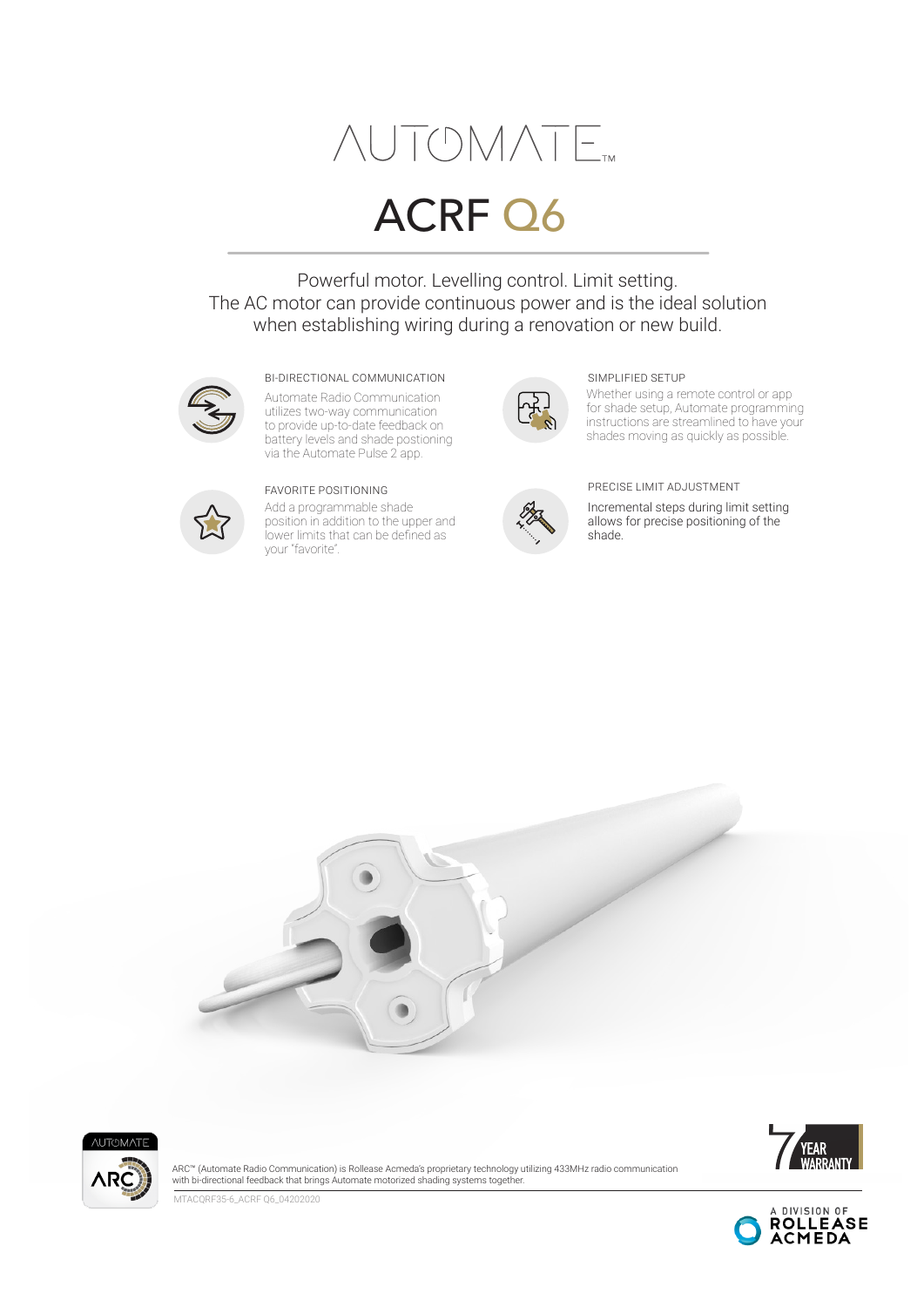# **NUTOMATE**

## ACRF Q6

Powerful motor. Levelling control. Limit setting. The AC motor can provide continuous power and is the ideal solution when establishing wiring during a renovation or new build.



#### BI-DIRECTIONAL COMMUNICATION SIMPLIFIED SETUP

Automate Radio Communication utilizes two-way communication to provide up-to-date feedback on battery levels and shade postioning via the Automate Pulse 2 app.



Add a programmable shade position in addition to the upper and lower limits that can be defined as your "favorite".



Whether using a remote control or app for shade setup, Automate programming instructions are streamlined to have your shades moving as quickly as possible.



#### FAVORITE POSITIONING PRECISE LIMIT ADJUSTMENT

Incremental steps during limit setting allows for precise positioning of the shade.







ARC™ (Automate Radio Communication) is Rollease Acmeda's proprietary technology utilizing 433MHz radio communication with bi-directional feedback that brings Automate motorized shading systems together.

MTACQRF35-6\_ACRF Q6\_04202020